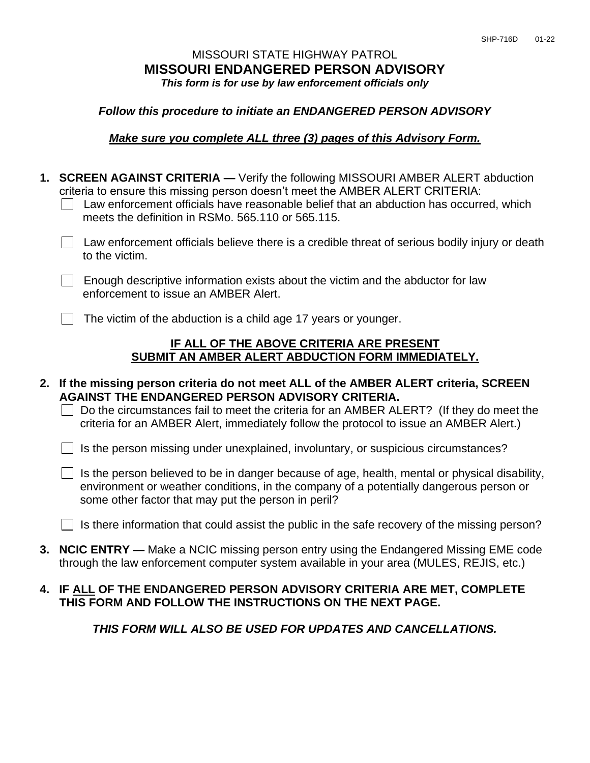### MISSOURI STATE HIGHWAY PATROL **MISSOURI ENDANGERED PERSON ADVISORY** *This form is for use by law enforcement officials only*

#### *Follow this procedure to initiate an ENDANGERED PERSON ADVISORY*

#### *Make sure you complete ALL three (3) pages of this Advisory Form.*

|  | 1. SCREEN AGAINST CRITERIA — Verify the following MISSOURI AMBER ALERT abduction<br>criteria to ensure this missing person doesn't meet the AMBER ALERT CRITERIA:<br>Law enforcement officials have reasonable belief that an abduction has occurred, which<br>meets the definition in RSMo. 565.110 or 565.115.                      |
|--|---------------------------------------------------------------------------------------------------------------------------------------------------------------------------------------------------------------------------------------------------------------------------------------------------------------------------------------|
|  | Law enforcement officials believe there is a credible threat of serious bodily injury or death<br>to the victim.                                                                                                                                                                                                                      |
|  | Enough descriptive information exists about the victim and the abductor for law<br>enforcement to issue an AMBER Alert.                                                                                                                                                                                                               |
|  | The victim of the abduction is a child age 17 years or younger.                                                                                                                                                                                                                                                                       |
|  | IF ALL OF THE ABOVE CRITERIA ARE PRESENT<br>SUBMIT AN AMBER ALERT ABDUCTION FORM IMMEDIATELY.                                                                                                                                                                                                                                         |
|  |                                                                                                                                                                                                                                                                                                                                       |
|  | 2. If the missing person criteria do not meet ALL of the AMBER ALERT criteria, SCREEN<br><b>AGAINST THE ENDANGERED PERSON ADVISORY CRITERIA.</b><br>Do the circumstances fail to meet the criteria for an AMBER ALERT? (If they do meet the<br>criteria for an AMBER Alert, immediately follow the protocol to issue an AMBER Alert.) |
|  | Is the person missing under unexplained, involuntary, or suspicious circumstances?                                                                                                                                                                                                                                                    |
|  | Is the person believed to be in danger because of age, health, mental or physical disability,<br>environment or weather conditions, in the company of a potentially dangerous person or<br>some other factor that may put the person in peril?                                                                                        |
|  | Is there information that could assist the public in the safe recovery of the missing person?                                                                                                                                                                                                                                         |

## **4. IF ALL OF THE ENDANGERED PERSON ADVISORY CRITERIA ARE MET, COMPLETE THIS FORM AND FOLLOW THE INSTRUCTIONS ON THE NEXT PAGE.**

*THIS FORM WILL ALSO BE USED FOR UPDATES AND CANCELLATIONS.*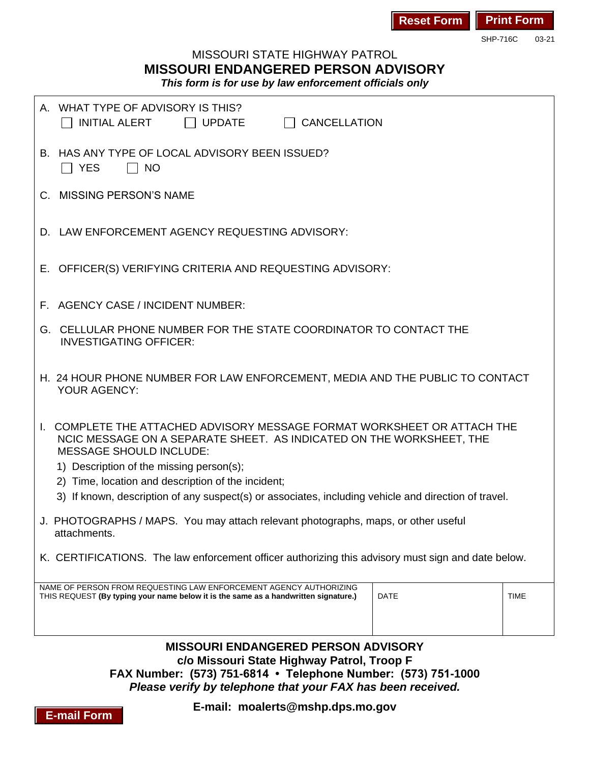| <b>Reset Form Print Form</b> |  |  |
|------------------------------|--|--|
|------------------------------|--|--|

SHP-716C 03-21

# MISSOURI STATE HIGHWAY PATROL **MISSOURI ENDANGERED PERSON ADVISORY**

*This form is for use by law enforcement officials only*

|                                                                                                    | A. WHAT TYPE OF ADVISORY IS THIS?<br>$\Box$ CANCELLATION<br>INITIAL ALERT<br>$\Box$ UPDATE                                                                                                                                                                                                                                                                                                |  |  |  |  |  |  |  |  |
|----------------------------------------------------------------------------------------------------|-------------------------------------------------------------------------------------------------------------------------------------------------------------------------------------------------------------------------------------------------------------------------------------------------------------------------------------------------------------------------------------------|--|--|--|--|--|--|--|--|
|                                                                                                    | B. HAS ANY TYPE OF LOCAL ADVISORY BEEN ISSUED?<br>$\Box$ YES<br><b>NO</b>                                                                                                                                                                                                                                                                                                                 |  |  |  |  |  |  |  |  |
|                                                                                                    | C. MISSING PERSON'S NAME                                                                                                                                                                                                                                                                                                                                                                  |  |  |  |  |  |  |  |  |
|                                                                                                    | D. LAW ENFORCEMENT AGENCY REQUESTING ADVISORY:                                                                                                                                                                                                                                                                                                                                            |  |  |  |  |  |  |  |  |
|                                                                                                    | E. OFFICER(S) VERIFYING CRITERIA AND REQUESTING ADVISORY:                                                                                                                                                                                                                                                                                                                                 |  |  |  |  |  |  |  |  |
|                                                                                                    | F. AGENCY CASE / INCIDENT NUMBER:                                                                                                                                                                                                                                                                                                                                                         |  |  |  |  |  |  |  |  |
|                                                                                                    | G. CELLULAR PHONE NUMBER FOR THE STATE COORDINATOR TO CONTACT THE<br><b>INVESTIGATING OFFICER:</b>                                                                                                                                                                                                                                                                                        |  |  |  |  |  |  |  |  |
|                                                                                                    | H. 24 HOUR PHONE NUMBER FOR LAW ENFORCEMENT, MEDIA AND THE PUBLIC TO CONTACT<br>YOUR AGENCY:                                                                                                                                                                                                                                                                                              |  |  |  |  |  |  |  |  |
|                                                                                                    | COMPLETE THE ATTACHED ADVISORY MESSAGE FORMAT WORKSHEET OR ATTACH THE<br>NCIC MESSAGE ON A SEPARATE SHEET. AS INDICATED ON THE WORKSHEET, THE<br><b>MESSAGE SHOULD INCLUDE:</b><br>1) Description of the missing person(s);<br>2) Time, location and description of the incident;<br>3) If known, description of any suspect(s) or associates, including vehicle and direction of travel. |  |  |  |  |  |  |  |  |
| J. PHOTOGRAPHS / MAPS. You may attach relevant photographs, maps, or other useful<br>attachments.  |                                                                                                                                                                                                                                                                                                                                                                                           |  |  |  |  |  |  |  |  |
| K. CERTIFICATIONS. The law enforcement officer authorizing this advisory must sign and date below. |                                                                                                                                                                                                                                                                                                                                                                                           |  |  |  |  |  |  |  |  |
|                                                                                                    | NAME OF PERSON FROM REQUESTING LAW ENFORCEMENT AGENCY AUTHORIZING<br><b>DATE</b><br><b>TIME</b><br>THIS REQUEST (By typing your name below it is the same as a handwritten signature.)                                                                                                                                                                                                    |  |  |  |  |  |  |  |  |
|                                                                                                    | <b>MISSOURI ENDANGERED PERSON ADVISORY</b><br>c/o Missouri State Highway Patrol, Troop F<br>FAX Number: (573) 751-6814 • Telephone Number: (573) 751-1000<br>Please verify by telephone that your FAX has been received.<br>E-mail: moalerts@mshp.dps.mo.gov                                                                                                                              |  |  |  |  |  |  |  |  |

**E-mail Form**